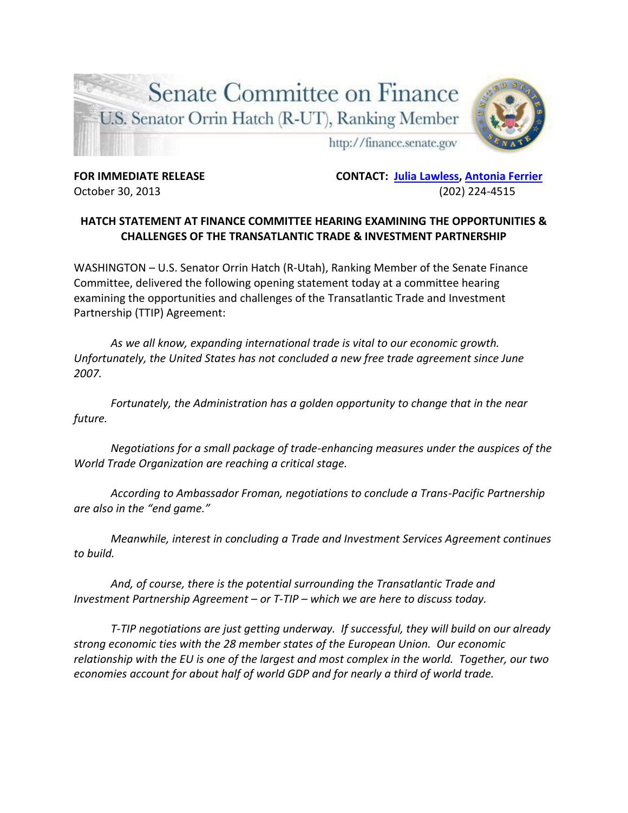

**FOR IMMEDIATE RELEASE CONTACT: [Julia Lawless,](mailto:Julia_Lawless@finance-rep.senate.gov) [Antonia Ferrier](mailto:Antonia_Ferrier@finance-rep.senate.gov)** October 30, 2013 (202) 224-4515

## **HATCH STATEMENT AT FINANCE COMMITTEE HEARING EXAMINING THE OPPORTUNITIES & CHALLENGES OF THE TRANSATLANTIC TRADE & INVESTMENT PARTNERSHIP**

WASHINGTON – U.S. Senator Orrin Hatch (R-Utah), Ranking Member of the Senate Finance Committee, delivered the following opening statement today at a committee hearing examining the opportunities and challenges of the Transatlantic Trade and Investment Partnership (TTIP) Agreement:

*As we all know, expanding international trade is vital to our economic growth. Unfortunately, the United States has not concluded a new free trade agreement since June 2007.* 

*Fortunately, the Administration has a golden opportunity to change that in the near future.* 

*Negotiations for a small package of trade-enhancing measures under the auspices of the World Trade Organization are reaching a critical stage.* 

*According to Ambassador Froman, negotiations to conclude a Trans-Pacific Partnership are also in the "end game."* 

*Meanwhile, interest in concluding a Trade and Investment Services Agreement continues to build.*

*And, of course, there is the potential surrounding the Transatlantic Trade and Investment Partnership Agreement – or T-TIP – which we are here to discuss today.* 

*T-TIP negotiations are just getting underway. If successful, they will build on our already strong economic ties with the 28 member states of the European Union. Our economic relationship with the EU is one of the largest and most complex in the world. Together, our two economies account for about half of world GDP and for nearly a third of world trade.*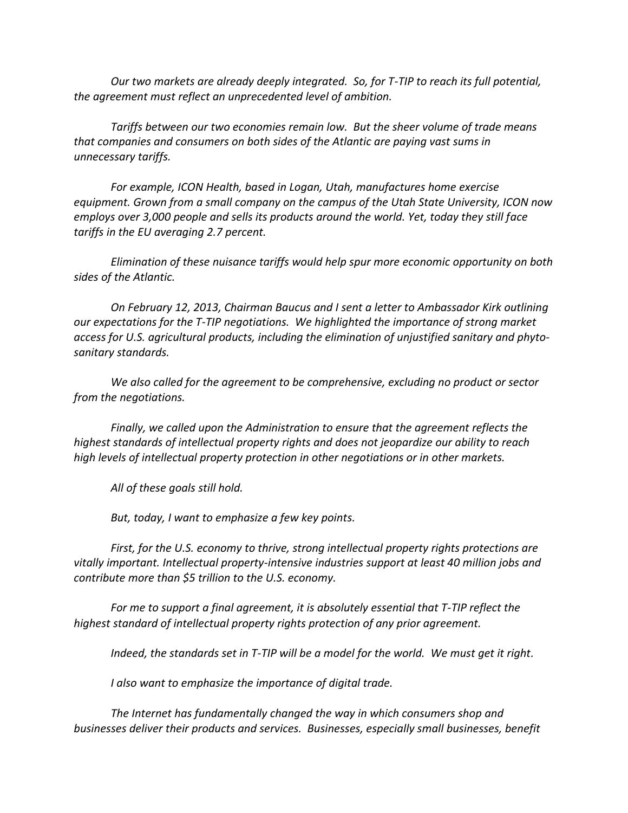*Our two markets are already deeply integrated. So, for T-TIP to reach its full potential, the agreement must reflect an unprecedented level of ambition.* 

*Tariffs between our two economies remain low. But the sheer volume of trade means that companies and consumers on both sides of the Atlantic are paying vast sums in unnecessary tariffs.* 

*For example, ICON Health, based in Logan, Utah, manufactures home exercise equipment. Grown from a small company on the campus of the Utah State University, ICON now employs over 3,000 people and sells its products around the world. Yet, today they still face tariffs in the EU averaging 2.7 percent.* 

*Elimination of these nuisance tariffs would help spur more economic opportunity on both sides of the Atlantic.* 

*On February 12, 2013, Chairman Baucus and I sent a letter to Ambassador Kirk outlining our expectations for the T-TIP negotiations. We highlighted the importance of strong market access for U.S. agricultural products, including the elimination of unjustified sanitary and phytosanitary standards.* 

*We also called for the agreement to be comprehensive, excluding no product or sector from the negotiations.* 

*Finally, we called upon the Administration to ensure that the agreement reflects the highest standards of intellectual property rights and does not jeopardize our ability to reach high levels of intellectual property protection in other negotiations or in other markets.* 

*All of these goals still hold.*

*But, today, I want to emphasize a few key points.* 

*First, for the U.S. economy to thrive, strong intellectual property rights protections are vitally important. Intellectual property-intensive industries support at least 40 million jobs and contribute more than \$5 trillion to the U.S. economy.*

*For me to support a final agreement, it is absolutely essential that T-TIP reflect the highest standard of intellectual property rights protection of any prior agreement.* 

*Indeed, the standards set in T-TIP will be a model for the world. We must get it right.* 

*I also want to emphasize the importance of digital trade.* 

*The Internet has fundamentally changed the way in which consumers shop and businesses deliver their products and services. Businesses, especially small businesses, benefit*